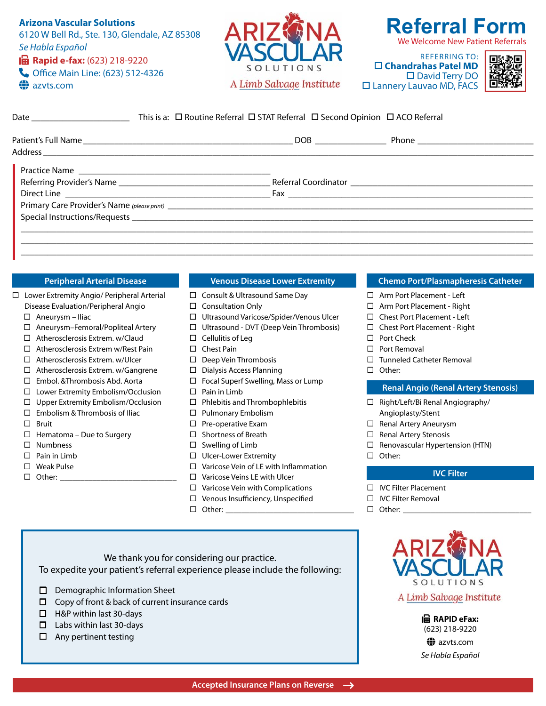# **Arizona Vascular Solutions** 6120 W Bell Rd., Ste. 130, Glendale, AZ 85308 Se Habla Español - **Rapid e-fax:** (623) 218-9220 **Coffice Main Line: (623) 512-4326 az**vts.com



# **Referral Form** We Welcome New Patient Referrals

REFERRING TO:  **Chandrahas Patel MD**  □ David Terry DO Lannery Lauvao MD, FACS



| This is a: $\Box$ Routine Referral $\Box$ STAT Referral $\Box$ Second Opinion $\Box$ ACO Referral |  |  |  |
|---------------------------------------------------------------------------------------------------|--|--|--|
|                                                                                                   |  |  |  |
|                                                                                                   |  |  |  |
|                                                                                                   |  |  |  |
|                                                                                                   |  |  |  |
|                                                                                                   |  |  |  |

|  | <b>Peripheral Arterial Disease</b> |  |
|--|------------------------------------|--|
|  |                                    |  |

- □ Lower Extremity Angio/ Peripheral Arterial Disease Evaluation/Peripheral Angio
	- $\Box$  Aneurysm Iliac
	- Aneurysm–Femoral/Popliteal Artery
	- □ Atherosclerosis Extrem. w/Claud
	- $\Box$  Atherosclerosis Extrem w/Rest Pain
	- □ Atherosclerosis Extrem. w/Ulcer
	- $\Box$  Atherosclerosis Extrem. w/Gangrene
	- Embol. &Thrombosis Abd. Aorta
	- □ Lower Extremity Embolism/Occlusion
	- $\Box$  Upper Extremity Embolism/Occlusion
	- $\square$  Embolism & Thrombosis of Iliac
	- $\square$  Bruit
	- $\Box$  Hematoma Due to Surgery
	- □ Numbness
	- $\Box$  Pain in Limb
	- □ Weak Pulse
	- $\Box$  Other:

#### **Venous Disease Lower Extremity**

\_\_\_\_\_\_\_\_\_\_\_\_\_\_\_\_\_\_\_\_\_\_\_\_\_\_\_\_\_\_\_\_\_\_\_\_\_\_\_\_\_\_\_\_\_\_\_\_\_\_\_\_\_\_\_\_\_\_\_\_\_\_\_\_\_\_\_\_\_\_\_\_\_\_\_\_\_\_\_\_\_\_\_\_\_\_\_\_\_\_\_\_\_\_\_\_\_\_\_\_\_\_\_\_\_\_\_\_\_\_\_\_\_\_\_ \_\_\_\_\_\_\_\_\_\_\_\_\_\_\_\_\_\_\_\_\_\_\_\_\_\_\_\_\_\_\_\_\_\_\_\_\_\_\_\_\_\_\_\_\_\_\_\_\_\_\_\_\_\_\_\_\_\_\_\_\_\_\_\_\_\_\_\_\_\_\_\_\_\_\_\_\_\_\_\_\_\_\_\_\_\_\_\_\_\_\_\_\_\_\_\_\_\_\_\_\_\_\_\_\_\_\_\_\_\_\_\_\_\_\_

- $\Box$  Consult & Ultrasound Same Day
- $\Box$  Consultation Only
- Ultrasound Varicose/Spider/Venous Ulcer
- Ultrasound DVT (Deep Vein Thrombosis)
- $\square$  Cellulitis of Leg
- □ Chest Pain
- $\square$  Deep Vein Thrombosis
- □ Dialysis Access Planning
- $\Box$  Focal Superf Swelling, Mass or Lump
- $\Box$  Pain in Limb
- $\Box$  Phlebitis and Thrombophlebitis
- □ Pulmonary Embolism
- $\square$  Pre-operative Exam
- $\Box$  Shortness of Breath
- $\square$  Swelling of Limb
- □ Ulcer-Lower Extremity
- $\Box$  Varicose Vein of LE with Inflammation
- $\Box$  Varicose Veins LE with Ulcer
- $\Box$  Varicose Vein with Complications
- $\Box$  Venous Insufficiency, Unspecified
- $\Box$  Other:

#### **Chemo Port/Plasmapheresis Catheter**

- □ Arm Port Placement Left
- □ Arm Port Placement Right
- □ Chest Port Placement Left
- □ Chest Port Placement Right
- □ Port Check
- □ Port Removal
- $\Box$  Tunneled Catheter Removal
- □ Other:

#### **Renal Angio (Renal Artery Stenosis)**

- $\Box$  Right/Left/Bi Renal Angiography/ Angioplasty/Stent
- □ Renal Artery Aneurysm
- $\Box$  Renal Artery Stenosis
- $\Box$  Renovascular Hypertension (HTN)
- □ Other:

#### **IVC Filter**

- IVC Filter Placement
- $\Box$  IVC Filter Removal
- $\Box$  Other:

We thank you for considering our practice. To expedite your patient's referral experience please include the following:

- $\Box$  Demographic Information Sheet
- $\Box$  Copy of front & back of current insurance cards
- $\Box$  H&P within last 30-days
- $\Box$  Labs within last 30-days
- $\Box$  Any pertinent testing



A Limb Salvage Institute

l**亩** RAPID eFax: (623) 218-9220 azvts.com Se Habla Español